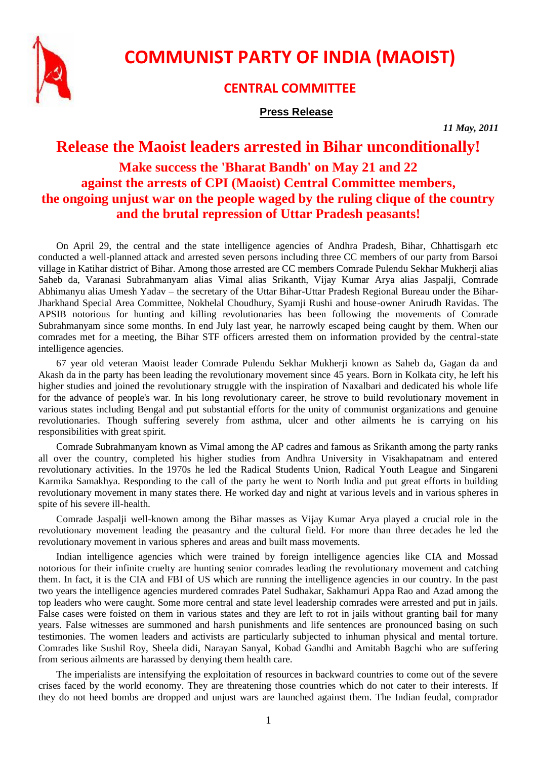

**COMMUNIST PARTY OF INDIA (MAOIST)**

## **CENTRAL COMMITTEE**

## **Press Release**

*11 May, 2011*

## **Release the Maoist leaders arrested in Bihar unconditionally! Make success the 'Bharat Bandh' on May 21 and 22 against the arrests of CPI (Maoist) Central Committee members, the ongoing unjust war on the people waged by the ruling clique of the country and the brutal repression of Uttar Pradesh peasants!**

On April 29, the central and the state intelligence agencies of Andhra Pradesh, Bihar, Chhattisgarh etc conducted a well-planned attack and arrested seven persons including three CC members of our party from Barsoi village in Katihar district of Bihar. Among those arrested are CC members Comrade Pulendu Sekhar Mukherji alias Saheb da, Varanasi Subrahmanyam alias Vimal alias Srikanth, Vijay Kumar Arya alias Jaspalji, Comrade Abhimanyu alias Umesh Yadav – the secretary of the Uttar Bihar-Uttar Pradesh Regional Bureau under the Bihar-Jharkhand Special Area Committee, Nokhelal Choudhury, Syamji Rushi and house-owner Anirudh Ravidas. The APSIB notorious for hunting and killing revolutionaries has been following the movements of Comrade Subrahmanyam since some months. In end July last year, he narrowly escaped being caught by them. When our comrades met for a meeting, the Bihar STF officers arrested them on information provided by the central-state intelligence agencies.

67 year old veteran Maoist leader Comrade Pulendu Sekhar Mukherji known as Saheb da, Gagan da and Akash da in the party has been leading the revolutionary movement since 45 years. Born in Kolkata city, he left his higher studies and joined the revolutionary struggle with the inspiration of Naxalbari and dedicated his whole life for the advance of people's war. In his long revolutionary career, he strove to build revolutionary movement in various states including Bengal and put substantial efforts for the unity of communist organizations and genuine revolutionaries. Though suffering severely from asthma, ulcer and other ailments he is carrying on his responsibilities with great spirit.

Comrade Subrahmanyam known as Vimal among the AP cadres and famous as Srikanth among the party ranks all over the country, completed his higher studies from Andhra University in Visakhapatnam and entered revolutionary activities. In the 1970s he led the Radical Students Union, Radical Youth League and Singareni Karmika Samakhya. Responding to the call of the party he went to North India and put great efforts in building revolutionary movement in many states there. He worked day and night at various levels and in various spheres in spite of his severe ill-health.

Comrade Jaspalji well-known among the Bihar masses as Vijay Kumar Arya played a crucial role in the revolutionary movement leading the peasantry and the cultural field. For more than three decades he led the revolutionary movement in various spheres and areas and built mass movements.

Indian intelligence agencies which were trained by foreign intelligence agencies like CIA and Mossad notorious for their infinite cruelty are hunting senior comrades leading the revolutionary movement and catching them. In fact, it is the CIA and FBI of US which are running the intelligence agencies in our country. In the past two years the intelligence agencies murdered comrades Patel Sudhakar, Sakhamuri Appa Rao and Azad among the top leaders who were caught. Some more central and state level leadership comrades were arrested and put in jails. False cases were foisted on them in various states and they are left to rot in jails without granting bail for many years. False witnesses are summoned and harsh punishments and life sentences are pronounced basing on such testimonies. The women leaders and activists are particularly subjected to inhuman physical and mental torture. Comrades like Sushil Roy, Sheela didi, Narayan Sanyal, Kobad Gandhi and Amitabh Bagchi who are suffering from serious ailments are harassed by denying them health care.

The imperialists are intensifying the exploitation of resources in backward countries to come out of the severe crises faced by the world economy. They are threatening those countries which do not cater to their interests. If they do not heed bombs are dropped and unjust wars are launched against them. The Indian feudal, comprador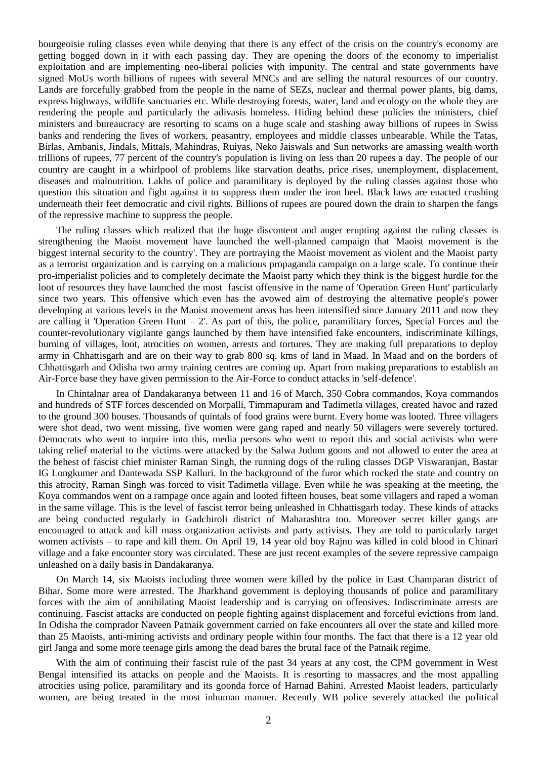bourgeoisie ruling classes even while denying that there is any effect of the crisis on the country's economy are getting bogged down in it with each passing day. They are opening the doors of the economy to imperialist exploitation and are implementing neo-liberal policies with impunity. The central and state governments have signed MoUs worth billions of rupees with several MNCs and are selling the natural resources of our country. Lands are forcefully grabbed from the people in the name of SEZs, nuclear and thermal power plants, big dams, express highways, wildlife sanctuaries etc. While destroying forests, water, land and ecology on the whole they are rendering the people and particularly the adivasis homeless. Hiding behind these policies the ministers, chief ministers and bureaucracy are resorting to scams on a huge scale and stashing away billions of rupees in Swiss banks and rendering the lives of workers, peasantry, employees and middle classes unbearable. While the Tatas, Birlas, Ambanis, Jindals, Mittals, Mahindras, Ruiyas, Neko Jaiswals and Sun networks are amassing wealth worth trillions of rupees, 77 percent of the country's population is living on less than 20 rupees a day. The people of our country are caught in a whirlpool of problems like starvation deaths, price rises, unemployment, displacement, diseases and malnutrition. Lakhs of police and paramilitary is deployed by the ruling classes against those who question this situation and fight against it to suppress them under the iron heel. Black laws are enacted crushing underneath their feet democratic and civil rights. Billions of rupees are poured down the drain to sharpen the fangs of the repressive machine to suppress the people.

The ruling classes which realized that the huge discontent and anger erupting against the ruling classes is strengthening the Maoist movement have launched the well-planned campaign that 'Maoist movement is the biggest internal security to the country'. They are portraying the Maoist movement as violent and the Maoist party as a terrorist organization and is carrying on a malicious propaganda campaign on a large scale. To continue their pro-imperialist policies and to completely decimate the Maoist party which they think is the biggest hurdle for the loot of resources they have launched the most fascist offensive in the name of 'Operation Green Hunt' particularly since two years. This offensive which even has the avowed aim of destroying the alternative people's power developing at various levels in the Maoist movement areas has been intensified since January 2011 and now they are calling it 'Operation Green Hunt  $-2$ '. As part of this, the police, paramilitary forces, Special Forces and the counter-revolutionary vigilante gangs launched by them have intensified fake encounters, indiscriminate killings, burning of villages, loot, atrocities on women, arrests and tortures. They are making full preparations to deploy army in Chhattisgarh and are on their way to grab 800 sq. kms of land in Maad. In Maad and on the borders of Chhattisgarh and Odisha two army training centres are coming up. Apart from making preparations to establish an Air-Force base they have given permission to the Air-Force to conduct attacks in 'self-defence'.

In Chintalnar area of Dandakaranya between 11 and 16 of March, 350 Cobra commandos, Koya commandos and hundreds of STF forces descended on Morpalli, Timmapuram and Tadimetla villages, created havoc and razed to the ground 300 houses. Thousands of quintals of food grains were burnt. Every home was looted. Three villagers were shot dead, two went missing, five women were gang raped and nearly 50 villagers were severely tortured. Democrats who went to inquire into this, media persons who went to report this and social activists who were taking relief material to the victims were attacked by the Salwa Judum goons and not allowed to enter the area at the behest of fascist chief minister Raman Singh, the running dogs of the ruling classes DGP Viswaranjan, Bastar IG Longkumer and Dantewada SSP Kalluri. In the background of the furor which rocked the state and country on this atrocity, Raman Singh was forced to visit Tadimetla village. Even while he was speaking at the meeting, the Koya commandos went on a rampage once again and looted fifteen houses, beat some villagers and raped a woman in the same village. This is the level of fascist terror being unleashed in Chhattisgarh today. These kinds of attacks are being conducted regularly in Gadchiroli district of Maharashtra too. Moreover secret killer gangs are encouraged to attack and kill mass organization activists and party activists. They are told to particularly target women activists – to rape and kill them. On April 19, 14 year old boy Rajnu was killed in cold blood in Chinari village and a fake encounter story was circulated. These are just recent examples of the severe repressive campaign unleashed on a daily basis in Dandakaranya.

On March 14, six Maoists including three women were killed by the police in East Champaran district of Bihar. Some more were arrested. The Jharkhand government is deploying thousands of police and paramilitary forces with the aim of annihilating Maoist leadership and is carrying on offensives. Indiscriminate arrests are continuing. Fascist attacks are conducted on people fighting against displacement and forceful evictions from land. In Odisha the comprador Naveen Patnaik government carried on fake encounters all over the state and killed more than 25 Maoists, anti-mining activists and ordinary people within four months. The fact that there is a 12 year old girl Janga and some more teenage girls among the dead bares the brutal face of the Patnaik regime.

With the aim of continuing their fascist rule of the past 34 years at any cost, the CPM government in West Bengal intensified its attacks on people and the Maoists. It is resorting to massacres and the most appalling atrocities using police, paramilitary and its goonda force of Harnad Bahini. Arrested Maoist leaders, particularly women, are being treated in the most inhuman manner. Recently WB police severely attacked the political